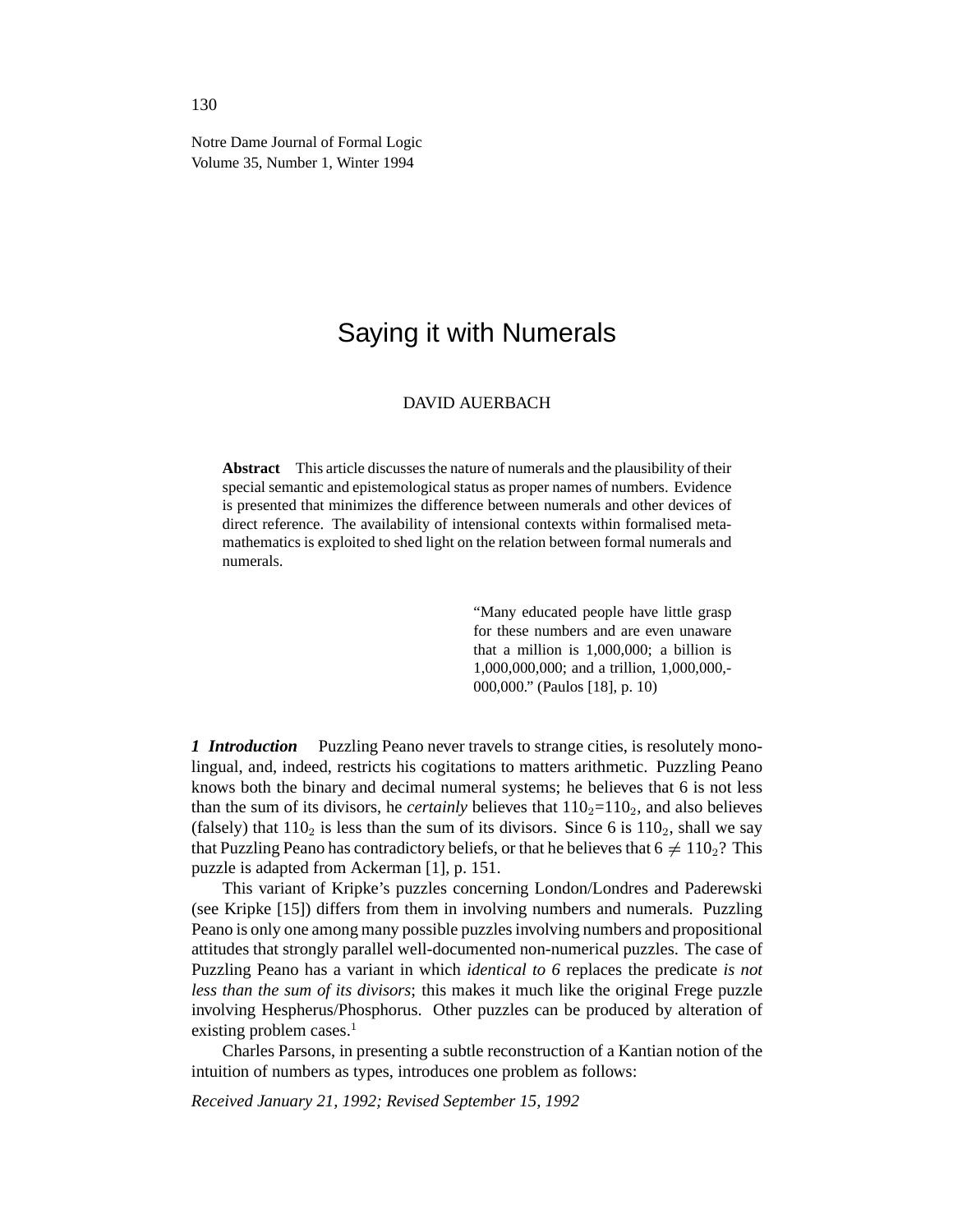Notre Dame Journal of Formal Logic Volume 35, Number 1, Winter 1994

# Saying it with Numerals

# DAVID AUERBACH

**Abstract** This article discusses the nature of numerals and the plausibility of their special semantic and epistemological status as proper names of numbers. Evidence is presented that minimizes the difference between numerals and other devices of direct reference. The availability of intensional contexts within formalised metamathematics is exploited to shed light on the relation between formal numerals and numerals.

> "Many educated people have little grasp for these numbers and are even unaware that a million is 1,000,000; a billion is 1,000,000,000; and a trillion, 1,000,000,- 000,000." (Paulos [18], p. 10)

*1 Introduction* Puzzling Peano never travels to strange cities, is resolutely monolingual, and, indeed, restricts his cogitations to matters arithmetic. Puzzling Peano knows both the binary and decimal numeral systems; he believes that 6 is not less than the sum of its divisors, he *certainly* believes that  $110<sub>2</sub>=110<sub>2</sub>$ , and also believes (falsely) that  $110<sub>2</sub>$  is less than the sum of its divisors. Since 6 is  $110<sub>2</sub>$ , shall we say that Puzzling Peano has contradictory beliefs, or that he believes that  $6 \neq 110<sub>2</sub>$ ? This puzzle is adapted from Ackerman [1], p. 151.

This variant of Kripke's puzzles concerning London/Londres and Paderewski (see Kripke [15]) differs from them in involving numbers and numerals. Puzzling Peano is only one among many possible puzzles involving numbers and propositional attitudes that strongly parallel well-documented non-numerical puzzles. The case of Puzzling Peano has a variant in which *identical to 6* replaces the predicate *is not less than the sum of its divisors*; this makes it much like the original Frege puzzle involving Hespherus/Phosphorus. Other puzzles can be produced by alteration of existing problem cases. $<sup>1</sup>$ </sup>

Charles Parsons, in presenting a subtle reconstruction of a Kantian notion of the intuition of numbers as types, introduces one problem as follows:

*Received January 21, 1992; Revised September 15, 1992*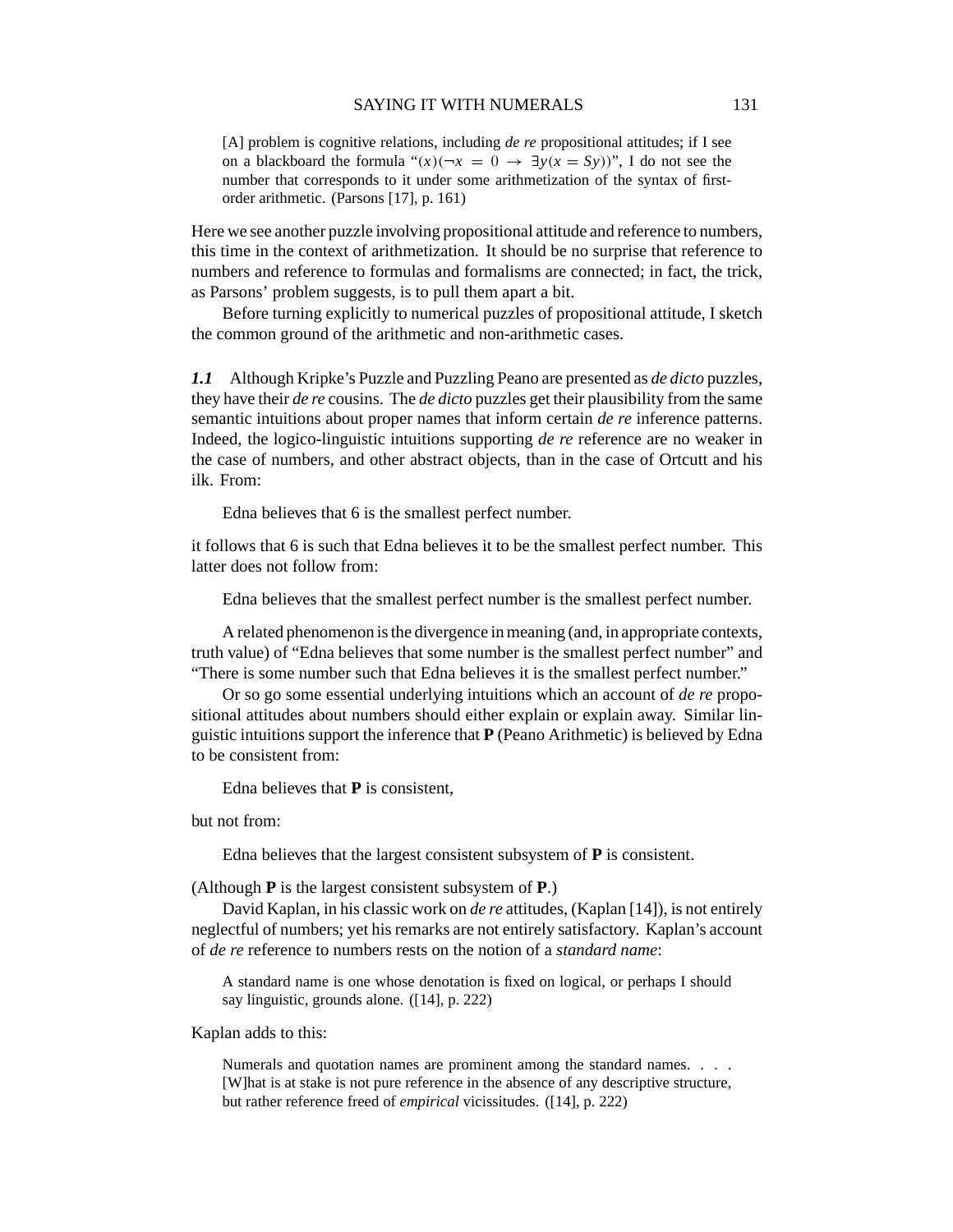[A] problem is cognitive relations, including *de re* propositional attitudes; if I see on a blackboard the formula " $(x)(\neg x = 0 \rightarrow \exists y(x = Sy))$ ", I do not see the number that corresponds to it under some arithmetization of the syntax of firstorder arithmetic. (Parsons [17], p. 161)

Here we see another puzzle involving propositional attitude and reference to numbers, this time in the context of arithmetization. It should be no surprise that reference to numbers and reference to formulas and formalisms are connected; in fact, the trick, as Parsons' problem suggests, is to pull them apart a bit.

Before turning explicitly to numerical puzzles of propositional attitude, I sketch the common ground of the arithmetic and non-arithmetic cases.

*1.1* Although Kripke's Puzzle and Puzzling Peano are presented as *de dicto* puzzles, they have their *de re* cousins. The *de dicto* puzzles get their plausibility from the same semantic intuitions about proper names that inform certain *de re* inference patterns. Indeed, the logico-linguistic intuitions supporting *de re* reference are no weaker in the case of numbers, and other abstract objects, than in the case of Ortcutt and his ilk. From:

Edna believes that 6 is the smallest perfect number.

it follows that 6 is such that Edna believes it to be the smallest perfect number. This latter does not follow from:

Edna believes that the smallest perfect number is the smallest perfect number.

A related phenomenon is the divergence in meaning (and, in appropriate contexts, truth value) of "Edna believes that some number is the smallest perfect number" and "There is some number such that Edna believes it is the smallest perfect number."

Or so go some essential underlying intuitions which an account of *de re* propositional attitudes about numbers should either explain or explain away. Similar linguistic intuitions support the inference that **P** (Peano Arithmetic) is believed by Edna to be consistent from:

Edna believes that **P** is consistent,

but not from:

Edna believes that the largest consistent subsystem of **P** is consistent.

(Although **P** is the largest consistent subsystem of **P**.)

David Kaplan, in his classic work on *de re* attitudes, (Kaplan [14]), is not entirely neglectful of numbers; yet his remarks are not entirely satisfactory. Kaplan's account of *de re* reference to numbers rests on the notion of a *standard name*:

A standard name is one whose denotation is fixed on logical, or perhaps I should say linguistic, grounds alone. ([14], p. 222)

Kaplan adds to this:

Numerals and quotation names are prominent among the standard names. . . . [W]hat is at stake is not pure reference in the absence of any descriptive structure, but rather reference freed of *empirical* vicissitudes. ([14], p. 222)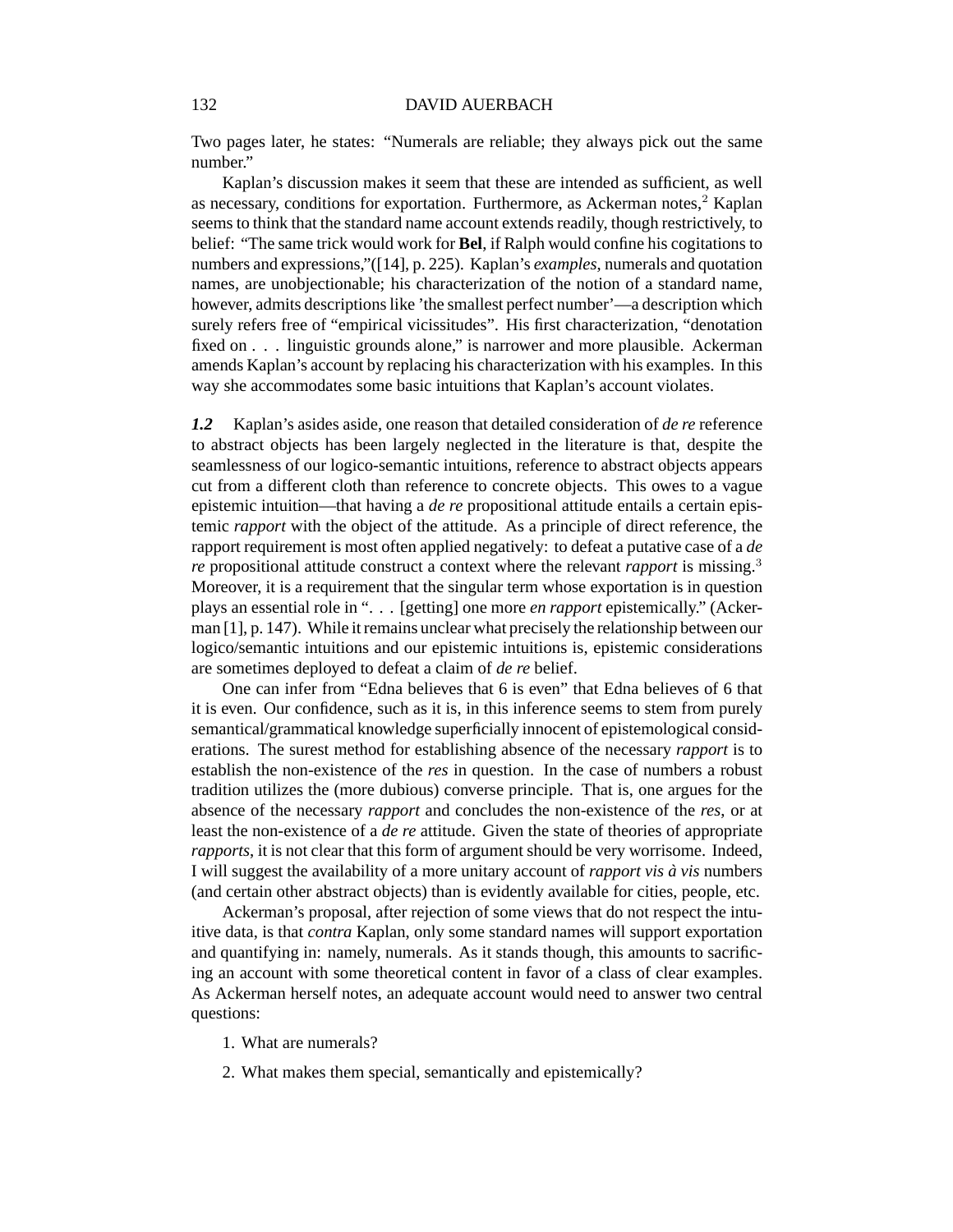Two pages later, he states: "Numerals are reliable; they always pick out the same number."

Kaplan's discussion makes it seem that these are intended as sufficient, as well as necessary, conditions for exportation. Furthermore, as Ackerman notes, ${}^{2}$  Kaplan seems to think that the standard name account extends readily, though restrictively, to belief: "The same trick would work for **Bel**, if Ralph would confine his cogitations to numbers and expressions,"([14], p. 225). Kaplan's *examples*, numerals and quotation names, are unobjectionable; his characterization of the notion of a standard name, however, admits descriptions like 'the smallest perfect number'—a description which surely refers free of "empirical vicissitudes". His first characterization, "denotation fixed on . . . linguistic grounds alone," is narrower and more plausible. Ackerman amends Kaplan's account by replacing his characterization with his examples. In this way she accommodates some basic intuitions that Kaplan's account violates.

*1.2* Kaplan's asides aside, one reason that detailed consideration of *de re* reference to abstract objects has been largely neglected in the literature is that, despite the seamlessness of our logico-semantic intuitions, reference to abstract objects appears cut from a different cloth than reference to concrete objects. This owes to a vague epistemic intuition—that having a *de re* propositional attitude entails a certain epistemic *rapport* with the object of the attitude. As a principle of direct reference, the rapport requirement is most often applied negatively: to defeat a putative case of a *de re* propositional attitude construct a context where the relevant *rapport* is missing.<sup>3</sup> Moreover, it is a requirement that the singular term whose exportation is in question plays an essential role in "... [getting] one more *en rapport* epistemically." (Ackerman [1], p. 147). While it remains unclear what precisely the relationship between our logico/semantic intuitions and our epistemic intuitions is, epistemic considerations are sometimes deployed to defeat a claim of *de re* belief.

One can infer from "Edna believes that 6 is even" that Edna believes of 6 that it is even. Our confidence, such as it is, in this inference seems to stem from purely semantical/grammatical knowledge superficially innocent of epistemological considerations. The surest method for establishing absence of the necessary *rapport* is to establish the non-existence of the *res* in question. In the case of numbers a robust tradition utilizes the (more dubious) converse principle. That is, one argues for the absence of the necessary *rapport* and concludes the non-existence of the *res*, or at least the non-existence of a *de re* attitude. Given the state of theories of appropriate *rapports*, it is not clear that this form of argument should be very worrisome. Indeed, I will suggest the availability of a more unitary account of *rapport vis a` vis* numbers (and certain other abstract objects) than is evidently available for cities, people, etc.

Ackerman's proposal, after rejection of some views that do not respect the intuitive data, is that *contra* Kaplan, only some standard names will support exportation and quantifying in: namely, numerals. As it stands though, this amounts to sacrificing an account with some theoretical content in favor of a class of clear examples. As Ackerman herself notes, an adequate account would need to answer two central questions:

- 1. What are numerals?
- 2. What makes them special, semantically and epistemically?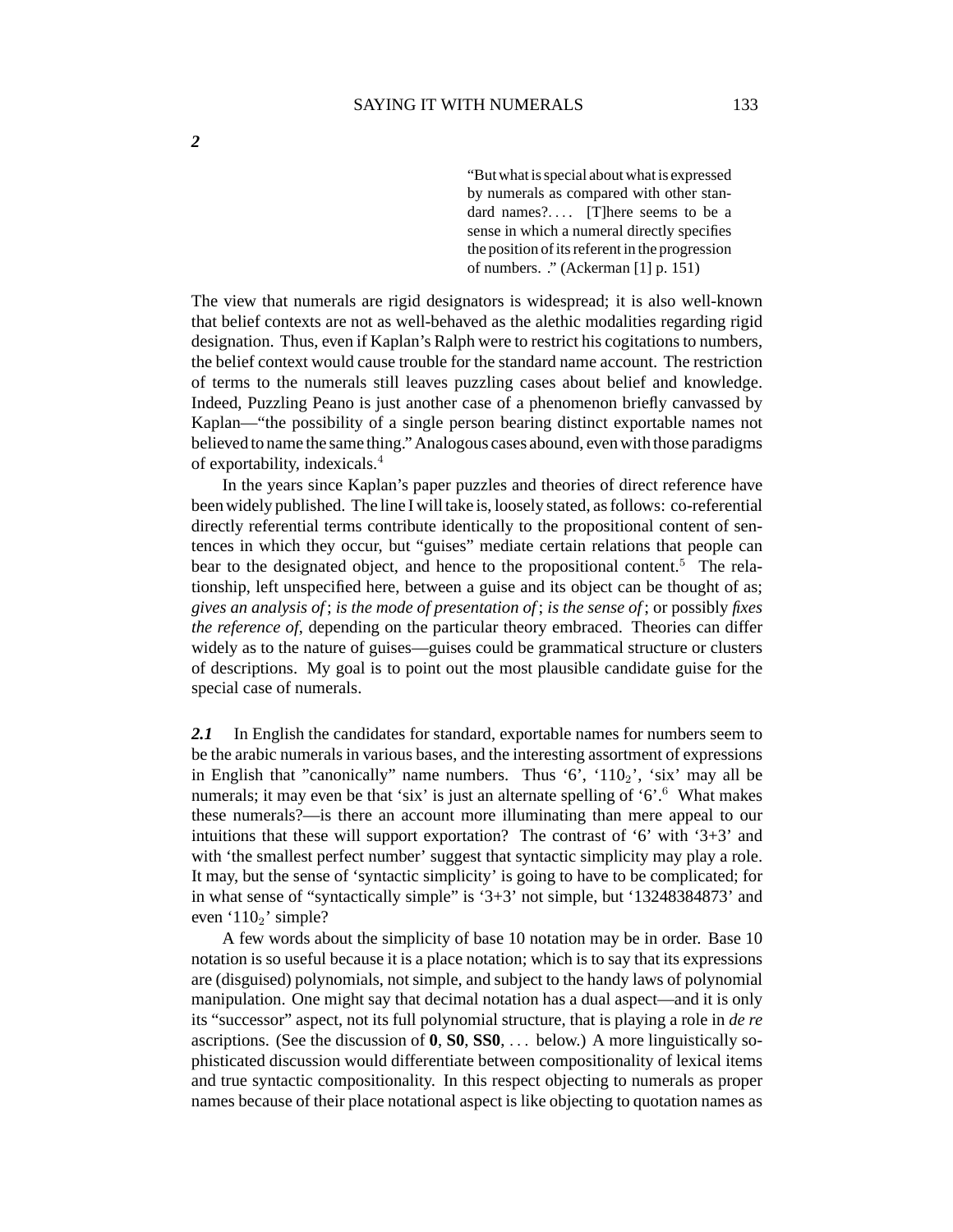"But what is special about what is expressed by numerals as compared with other standard names?.... [T]here seems to be a sense in which a numeral directly specifies the position of its referent in the progression of numbers. ." (Ackerman [1] p. 151)

The view that numerals are rigid designators is widespread; it is also well-known that belief contexts are not as well-behaved as the alethic modalities regarding rigid designation. Thus, even if Kaplan's Ralph were to restrict his cogitations to numbers, the belief context would cause trouble for the standard name account. The restriction of terms to the numerals still leaves puzzling cases about belief and knowledge. Indeed, Puzzling Peano is just another case of a phenomenon briefly canvassed by Kaplan—"the possibility of a single person bearing distinct exportable names not believed to name the same thing." Analogous cases abound, even with those paradigms of exportability, indexicals.<sup>4</sup>

In the years since Kaplan's paper puzzles and theories of direct reference have been widely published. The line I will take is, loosely stated, as follows: co-referential directly referential terms contribute identically to the propositional content of sentences in which they occur, but "guises" mediate certain relations that people can bear to the designated object, and hence to the propositional content.<sup>5</sup> The relationship, left unspecified here, between a guise and its object can be thought of as; *gives an analysis of* ; *is the mode of presentation of* ; *is the sense of* ; or possibly *fixes the reference of*, depending on the particular theory embraced. Theories can differ widely as to the nature of guises—guises could be grammatical structure or clusters of descriptions. My goal is to point out the most plausible candidate guise for the special case of numerals.

*2.1* In English the candidates for standard, exportable names for numbers seem to be the arabic numerals in various bases, and the interesting assortment of expressions in English that "canonically" name numbers. Thus '6', '110 $_2$ ', 'six' may all be numerals; it may even be that 'six' is just an alternate spelling of '6'.<sup>6</sup> What makes these numerals?—is there an account more illuminating than mere appeal to our intuitions that these will support exportation? The contrast of '6' with '3+3' and with 'the smallest perfect number' suggest that syntactic simplicity may play a role. It may, but the sense of 'syntactic simplicity' is going to have to be complicated; for in what sense of "syntactically simple" is '3+3' not simple, but '13248384873' and even ' $110<sub>2</sub>$ ' simple?

A few words about the simplicity of base 10 notation may be in order. Base 10 notation is so useful because it is a place notation; which is to say that its expressions are (disguised) polynomials, not simple, and subject to the handy laws of polynomial manipulation. One might say that decimal notation has a dual aspect—and it is only its "successor" aspect, not its full polynomial structure, that is playing a role in *de re* ascriptions. (See the discussion of **0**, **S0**, **SS0**, ... below.) A more linguistically sophisticated discussion would differentiate between compositionality of lexical items and true syntactic compositionality. In this respect objecting to numerals as proper names because of their place notational aspect is like objecting to quotation names as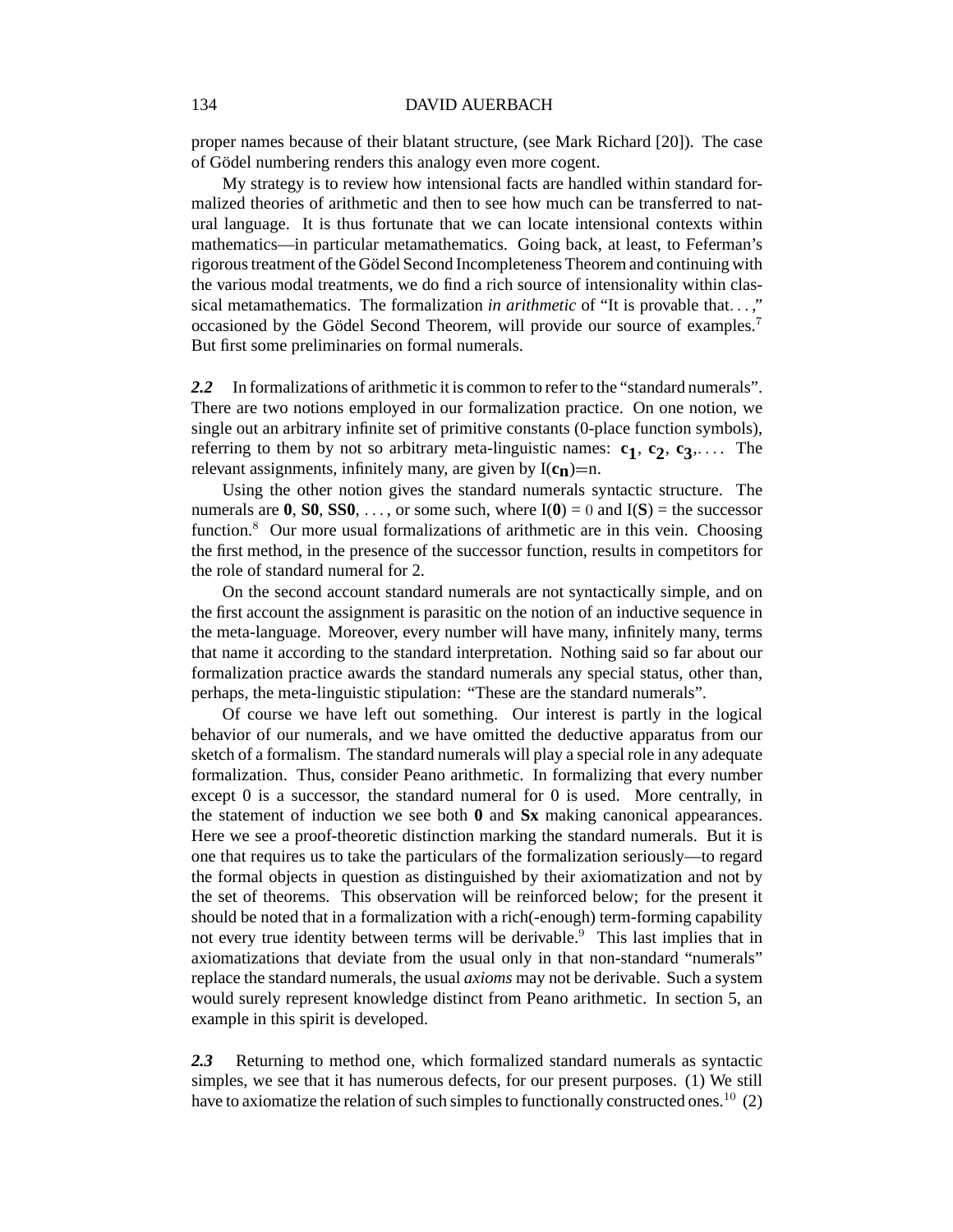proper names because of their blatant structure, (see Mark Richard [20]). The case of Gödel numbering renders this analogy even more cogent.

My strategy is to review how intensional facts are handled within standard formalized theories of arithmetic and then to see how much can be transferred to natural language. It is thus fortunate that we can locate intensional contexts within mathematics—in particular metamathematics. Going back, at least, to Feferman's rigorous treatment of the Gödel Second Incompleteness Theorem and continuing with the various modal treatments, we do find a rich source of intensionality within classical metamathematics. The formalization *in arithmetic* of "It is provable that...," occasioned by the Gödel Second Theorem, will provide our source of examples.<sup>7</sup> But first some preliminaries on formal numerals.

2.2 In formalizations of arithmetic it is common to refer to the "standard numerals". There are two notions employed in our formalization practice. On one notion, we single out an arbitrary infinite set of primitive constants (0-place function symbols), referring to them by not so arbitrary meta-linguistic names:  $c_1$ ,  $c_2$ ,  $c_3$ ,.... The relevant assignments, infinitely many, are given by  $I(c_n)=n$ .

Using the other notion gives the standard numerals syntactic structure. The numerals are **0**, **S0**, **SS0**, ..., or some such, where  $I(0) = 0$  and  $I(S) =$  the successor function.<sup>8</sup> Our more usual formalizations of arithmetic are in this vein. Choosing the first method, in the presence of the successor function, results in competitors for the role of standard numeral for 2.

On the second account standard numerals are not syntactically simple, and on the first account the assignment is parasitic on the notion of an inductive sequence in the meta-language. Moreover, every number will have many, infinitely many, terms that name it according to the standard interpretation. Nothing said so far about our formalization practice awards the standard numerals any special status, other than, perhaps, the meta-linguistic stipulation: "These are the standard numerals".

Of course we have left out something. Our interest is partly in the logical behavior of our numerals, and we have omitted the deductive apparatus from our sketch of a formalism. The standard numerals will play a special role in any adequate formalization. Thus, consider Peano arithmetic. In formalizing that every number except 0 is a successor, the standard numeral for 0 is used. More centrally, in the statement of induction we see both **0** and **Sx** making canonical appearances. Here we see a proof-theoretic distinction marking the standard numerals. But it is one that requires us to take the particulars of the formalization seriously—to regard the formal objects in question as distinguished by their axiomatization and not by the set of theorems. This observation will be reinforced below; for the present it should be noted that in a formalization with a rich(-enough) term-forming capability not every true identity between terms will be derivable.<sup>9</sup> This last implies that in axiomatizations that deviate from the usual only in that non-standard "numerals" replace the standard numerals, the usual *axioms* may not be derivable. Such a system would surely represent knowledge distinct from Peano arithmetic. In section 5, an example in this spirit is developed.

*2.3* Returning to method one, which formalized standard numerals as syntactic simples, we see that it has numerous defects, for our present purposes. (1) We still have to axiomatize the relation of such simples to functionally constructed ones.<sup>10</sup> (2)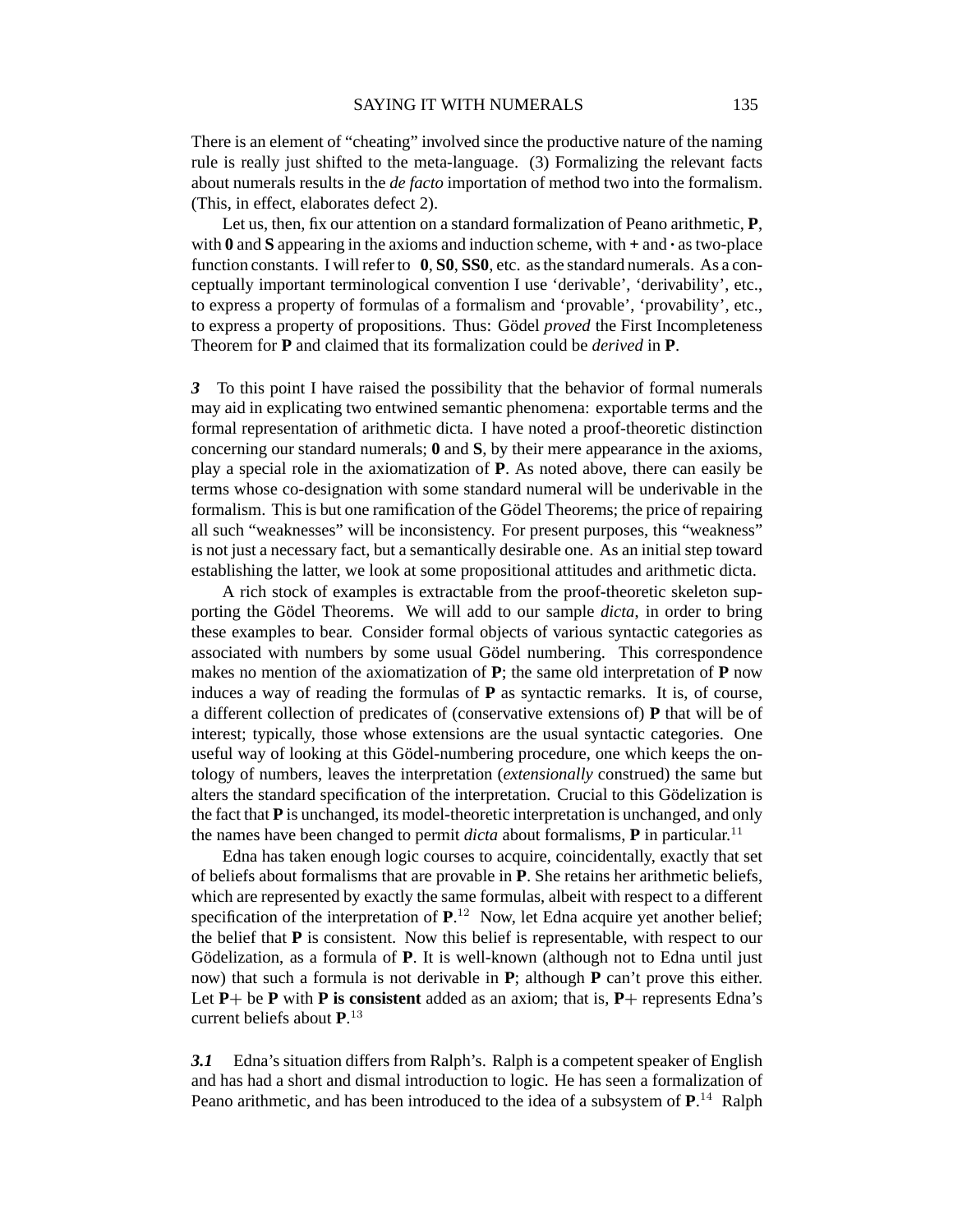There is an element of "cheating" involved since the productive nature of the naming rule is really just shifted to the meta-language. (3) Formalizing the relevant facts about numerals results in the *de facto* importation of method two into the formalism. (This, in effect, elaborates defect 2).

Let us, then, fix our attention on a standard formalization of Peano arithmetic, **P**, with **0** and **S** appearing in the axioms and induction scheme, with  $+$  and  $\cdot$  as two-place function constants. I will refer to **0**, **S0**, **SS0**, etc. as the standard numerals. As a conceptually important terminological convention I use 'derivable', 'derivability', etc., to express a property of formulas of a formalism and 'provable', 'provability', etc., to express a property of propositions. Thus: Gödel *proved* the First Incompleteness Theorem for **P** and claimed that its formalization could be *derived* in **P**.

*3* To this point I have raised the possibility that the behavior of formal numerals may aid in explicating two entwined semantic phenomena: exportable terms and the formal representation of arithmetic dicta. I have noted a proof-theoretic distinction concerning our standard numerals; **0** and **S**, by their mere appearance in the axioms, play a special role in the axiomatization of **P**. As noted above, there can easily be terms whose co-designation with some standard numeral will be underivable in the formalism. This is but one ramification of the Gödel Theorems; the price of repairing all such "weaknesses" will be inconsistency. For present purposes, this "weakness" is not just a necessary fact, but a semantically desirable one. As an initial step toward establishing the latter, we look at some propositional attitudes and arithmetic dicta.

A rich stock of examples is extractable from the proof-theoretic skeleton supporting the Gödel Theorems. We will add to our sample *dicta*, in order to bring these examples to bear. Consider formal objects of various syntactic categories as associated with numbers by some usual Gödel numbering. This correspondence makes no mention of the axiomatization of **P**; the same old interpretation of **P** now induces a way of reading the formulas of **P** as syntactic remarks. It is, of course, a different collection of predicates of (conservative extensions of) **P** that will be of interest; typically, those whose extensions are the usual syntactic categories. One useful way of looking at this Gödel-numbering procedure, one which keeps the ontology of numbers, leaves the interpretation (*extensionally* construed) the same but alters the standard specification of the interpretation. Crucial to this Gödelization is the fact that **P** is unchanged, its model-theoretic interpretation is unchanged, and only the names have been changed to permit *dicta* about formalisms,  $P$  in particular.<sup>11</sup>

Edna has taken enough logic courses to acquire, coincidentally, exactly that set of beliefs about formalisms that are provable in **P**. She retains her arithmetic beliefs, which are represented by exactly the same formulas, albeit with respect to a different specification of the interpretation of  $P^{12}$  Now, let Edna acquire yet another belief; the belief that **P** is consistent. Now this belief is representable, with respect to our Gödelization, as a formula of **P**. It is well-known (although not to Edna until just now) that such a formula is not derivable in **P**; although **P** can't prove this either. Let  $P+$  be P with P is consistent added as an axiom; that is,  $P+$  represents Edna's current beliefs about **P**. 13

*3.1* Edna's situation differs from Ralph's. Ralph is a competent speaker of English and has had a short and dismal introduction to logic. He has seen a formalization of Peano arithmetic, and has been introduced to the idea of a subsystem of **P**. <sup>14</sup> Ralph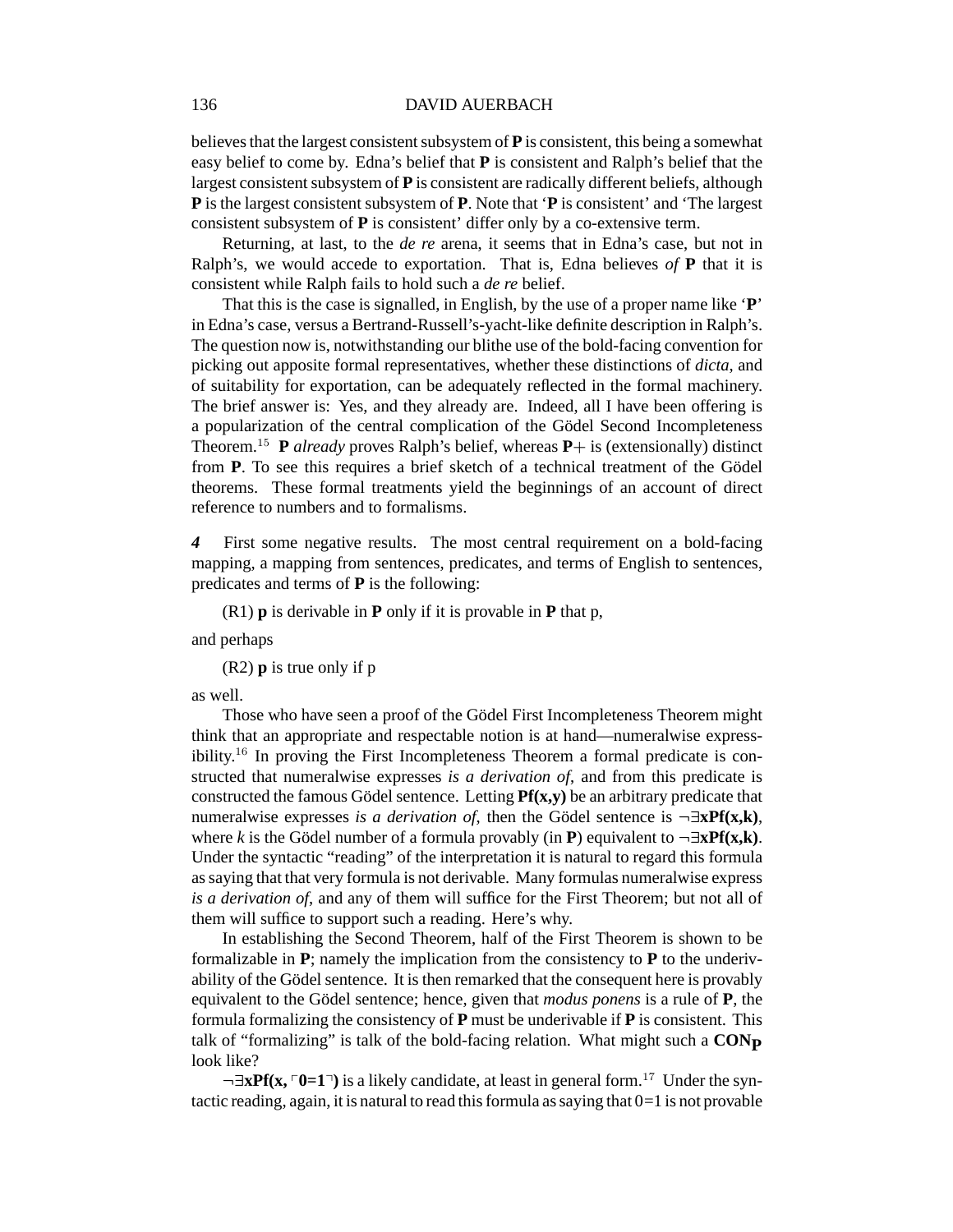believes that the largest consistent subsystem of **P** is consistent, this being a somewhat easy belief to come by. Edna's belief that **P** is consistent and Ralph's belief that the largest consistent subsystem of **P** is consistent are radically different beliefs, although **P** is the largest consistent subsystem of **P**. Note that '**P** is consistent' and 'The largest consistent subsystem of **P** is consistent' differ only by a co-extensive term.

Returning, at last, to the *de re* arena, it seems that in Edna's case, but not in Ralph's, we would accede to exportation. That is, Edna believes *of* **P** that it is consistent while Ralph fails to hold such a *de re* belief.

That this is the case is signalled, in English, by the use of a proper name like '**P**' in Edna's case, versus a Bertrand-Russell's-yacht-like definite description in Ralph's. The question now is, notwithstanding our blithe use of the bold-facing convention for picking out apposite formal representatives, whether these distinctions of *dicta*, and of suitability for exportation, can be adequately reflected in the formal machinery. The brief answer is: Yes, and they already are. Indeed, all I have been offering is a popularization of the central complication of the Gödel Second Incompleteness Theorem.<sup>15</sup> **P** *already* proves Ralph's belief, whereas  $P+$  is (extensionally) distinct from **P**. To see this requires a brief sketch of a technical treatment of the Gödel theorems. These formal treatments yield the beginnings of an account of direct reference to numbers and to formalisms.

*4* First some negative results. The most central requirement on a bold-facing mapping, a mapping from sentences, predicates, and terms of English to sentences, predicates and terms of **P** is the following:

(R1) **p** is derivable in **P** only if it is provable in **P** that p,

and perhaps

(R2) **p** is true only if p

as well.

Those who have seen a proof of the Gödel First Incompleteness Theorem might think that an appropriate and respectable notion is at hand—numeralwise expressibility.<sup>16</sup> In proving the First Incompleteness Theorem a formal predicate is constructed that numeralwise expresses *is a derivation of*, and from this predicate is constructed the famous Gödel sentence. Letting  $Pf(x,y)$  be an arbitrary predicate that numeralwise expresses *is a derivation of*, then the Gödel sentence is  $\neg \exists x P f(x,k)$ , where *k* is the Gödel number of a formula provably (in **P**) equivalent to  $\neg \exists xPf(x,k)$ . Under the syntactic "reading" of the interpretation it is natural to regard this formula as saying that that very formula is not derivable. Many formulas numeralwise express *is a derivation of*, and any of them will suffice for the First Theorem; but not all of them will suffice to support such a reading. Here's why.

In establishing the Second Theorem, half of the First Theorem is shown to be formalizable in **P**; namely the implication from the consistency to **P** to the underivability of the Gödel sentence. It is then remarked that the consequent here is provably equivalent to the Gödel sentence; hence, given that *modus ponens* is a rule of **P**, the formula formalizing the consistency of **P** must be underivable if **P** is consistent. This talk of "formalizing" is talk of the bold-facing relation. What might such a  $\text{CONF}$ look like?

*¬∃***xPf(x, 0=1**-**)** is a likely candidate, at least in general form.<sup>17</sup> Under the syntactic reading, again, it is natural to read this formula as saying that 0=1 is not provable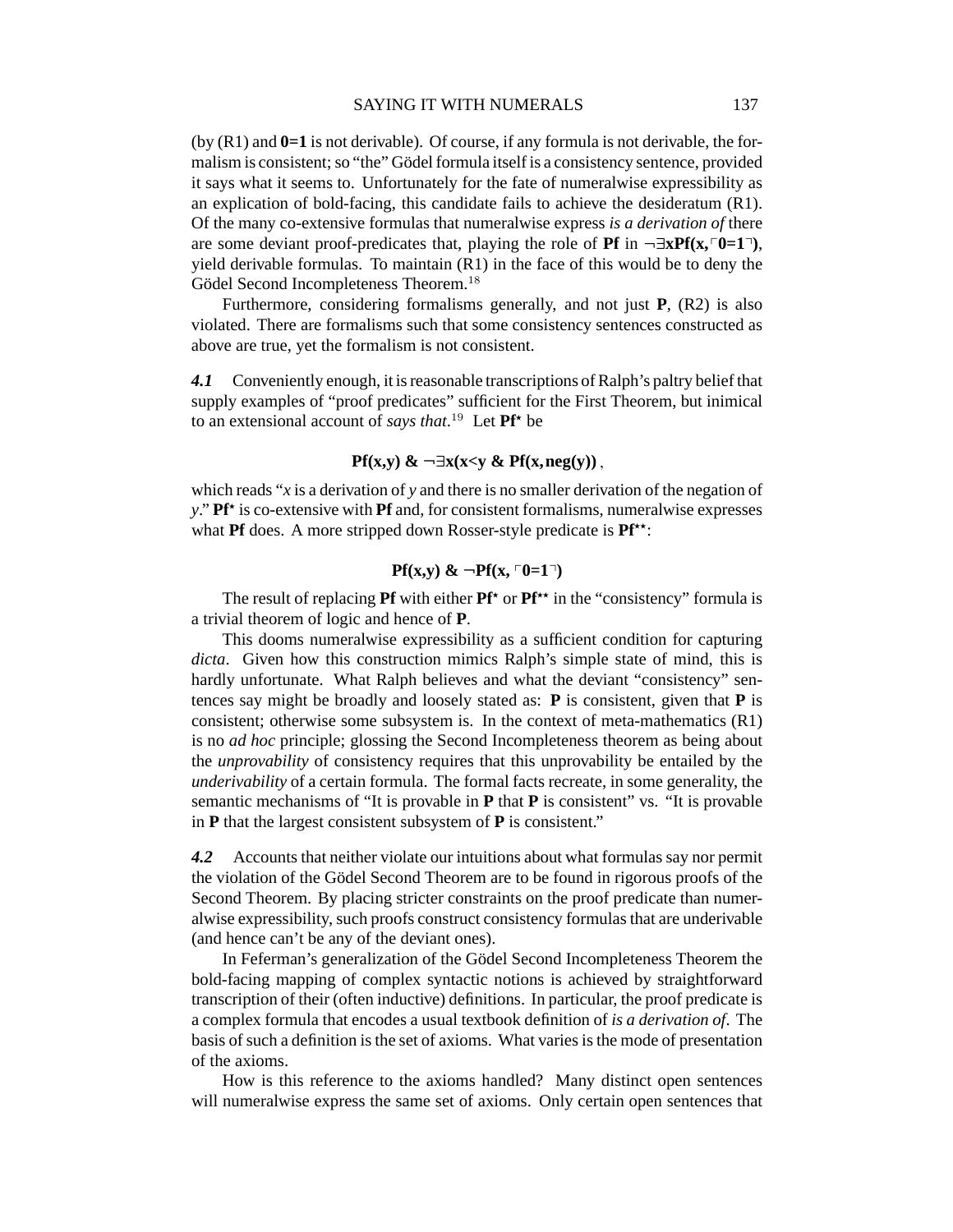(by (R1) and **0=1** is not derivable). Of course, if any formula is not derivable, the formalism is consistent; so "the" Gödel formula itself is a consistency sentence, provided it says what it seems to. Unfortunately for the fate of numeralwise expressibility as an explication of bold-facing, this candidate fails to achieve the desideratum (R1). Of the many co-extensive formulas that numeralwise express *is a derivation of* there are some deviant proof-predicates that, playing the role of **Pf** in  $\neg \exists x \textbf{Pf}(x, \ulcorner 0=1 \urcorner)$ , yield derivable formulas. To maintain  $(R1)$  in the face of this would be to deny the Gödel Second Incompleteness Theorem.<sup>18</sup>

Furthermore, considering formalisms generally, and not just **P**, (R2) is also violated. There are formalisms such that some consistency sentences constructed as above are true, yet the formalism is not consistent.

*4.1* Conveniently enough, it is reasonable transcriptions of Ralph's paltry belief that supply examples of "proof predicates" sufficient for the First Theorem, but inimical to an extensional account of *says that*.<sup>19</sup> Let **Pf**\* be

# $Pf(x,y)$  &  $\neg \exists x(x < y \& Pf(x,neg(y))$ ,

which reads "*x* is a derivation of *y* and there is no smaller derivation of the negation of *y*." **Pf** is co-extensive with **Pf** and, for consistent formalisms, numeralwise expresses what **Pf** does. A more stripped down Rosser-style predicate is **Pf\*\***:

# **Pf**(**x**,**y**) &  $\neg$ **Pf**(**x**,  $\ulcorner$ **0=1** $\urcorner$ )

The result of replacing **Pf** with either  $Pf^*$  or  $Pf^{**}$  in the "consistency" formula is a trivial theorem of logic and hence of **P**.

This dooms numeralwise expressibility as a sufficient condition for capturing *dicta*. Given how this construction mimics Ralph's simple state of mind, this is hardly unfortunate. What Ralph believes and what the deviant "consistency" sentences say might be broadly and loosely stated as: **P** is consistent, given that **P** is consistent; otherwise some subsystem is. In the context of meta-mathematics (R1) is no *ad hoc* principle; glossing the Second Incompleteness theorem as being about the *unprovability* of consistency requires that this unprovability be entailed by the *underivability* of a certain formula. The formal facts recreate, in some generality, the semantic mechanisms of "It is provable in **P** that **P** is consistent" vs. "It is provable in **P** that the largest consistent subsystem of **P** is consistent."

*4.2* Accounts that neither violate our intuitions about what formulas say nor permit the violation of the Gödel Second Theorem are to be found in rigorous proofs of the Second Theorem. By placing stricter constraints on the proof predicate than numeralwise expressibility, such proofs construct consistency formulas that are underivable (and hence can't be any of the deviant ones).

In Feferman's generalization of the Gödel Second Incompleteness Theorem the bold-facing mapping of complex syntactic notions is achieved by straightforward transcription of their (often inductive) definitions. In particular, the proof predicate is a complex formula that encodes a usual textbook definition of *is a derivation of*. The basis of such a definition is the set of axioms. What varies is the mode of presentation of the axioms.

How is this reference to the axioms handled? Many distinct open sentences will numeralwise express the same set of axioms. Only certain open sentences that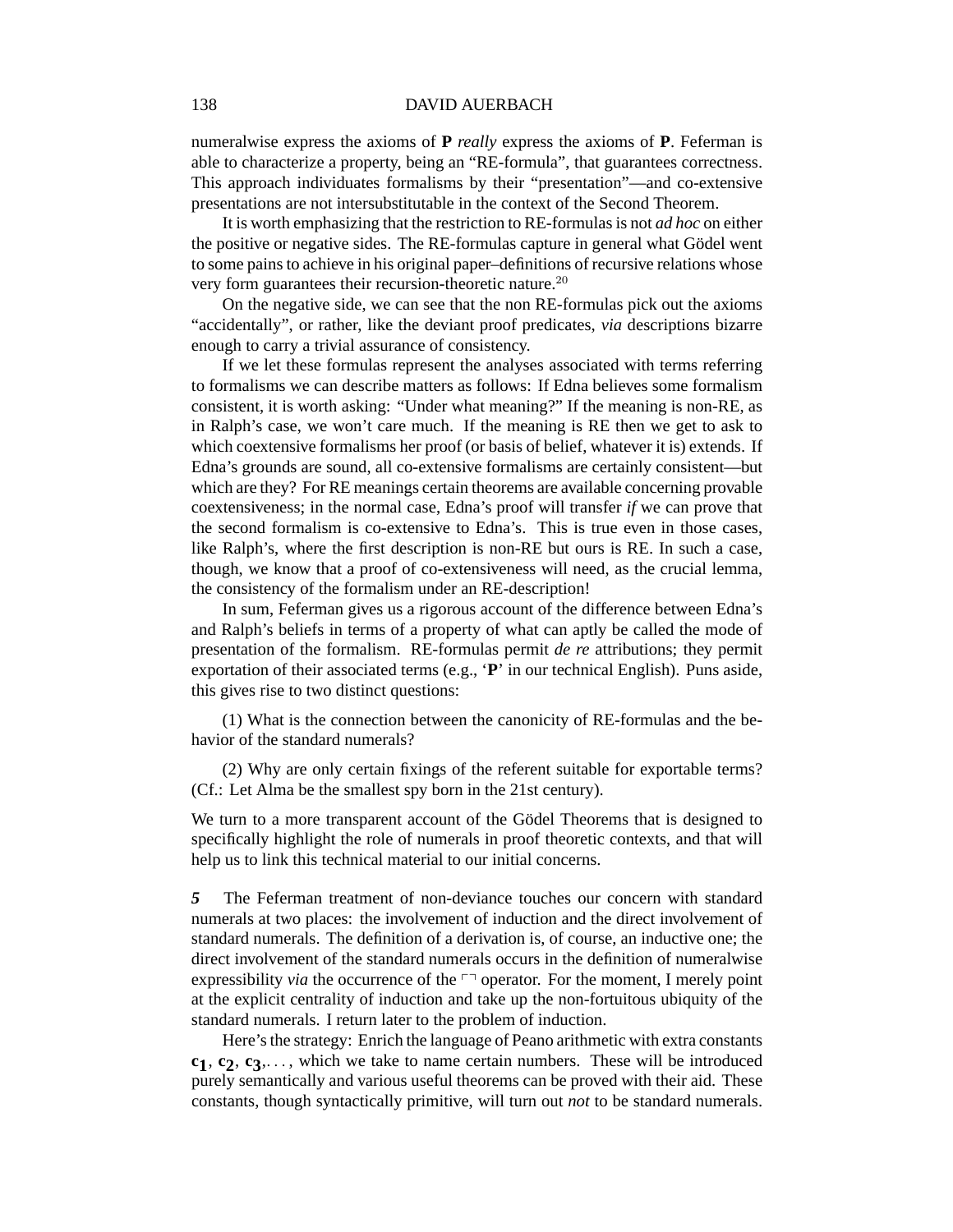numeralwise express the axioms of **P** *really* express the axioms of **P**. Feferman is able to characterize a property, being an "RE-formula", that guarantees correctness. This approach individuates formalisms by their "presentation"—and co-extensive presentations are not intersubstitutable in the context of the Second Theorem.

It is worth emphasizing that the restriction to RE-formulas is not *ad hoc* on either the positive or negative sides. The RE-formulas capture in general what Gödel went to some pains to achieve in his original paper–definitions of recursive relations whose very form guarantees their recursion-theoretic nature.<sup>20</sup>

On the negative side, we can see that the non RE-formulas pick out the axioms "accidentally", or rather, like the deviant proof predicates, *via* descriptions bizarre enough to carry a trivial assurance of consistency.

If we let these formulas represent the analyses associated with terms referring to formalisms we can describe matters as follows: If Edna believes some formalism consistent, it is worth asking: "Under what meaning?" If the meaning is non-RE, as in Ralph's case, we won't care much. If the meaning is RE then we get to ask to which coextensive formalisms her proof (or basis of belief, whatever it is) extends. If Edna's grounds are sound, all co-extensive formalisms are certainly consistent—but which are they? For RE meanings certain theorems are available concerning provable coextensiveness; in the normal case, Edna's proof will transfer *if* we can prove that the second formalism is co-extensive to Edna's. This is true even in those cases, like Ralph's, where the first description is non-RE but ours is RE. In such a case, though, we know that a proof of co-extensiveness will need, as the crucial lemma, the consistency of the formalism under an RE-description!

In sum, Feferman gives us a rigorous account of the difference between Edna's and Ralph's beliefs in terms of a property of what can aptly be called the mode of presentation of the formalism. RE-formulas permit *de re* attributions; they permit exportation of their associated terms (e.g., '**P**' in our technical English). Puns aside, this gives rise to two distinct questions:

(1) What is the connection between the canonicity of RE-formulas and the behavior of the standard numerals?

(2) Why are only certain fixings of the referent suitable for exportable terms? (Cf.: Let Alma be the smallest spy born in the 21st century).

We turn to a more transparent account of the Gödel Theorems that is designed to specifically highlight the role of numerals in proof theoretic contexts, and that will help us to link this technical material to our initial concerns.

*5* The Feferman treatment of non-deviance touches our concern with standard numerals at two places: the involvement of induction and the direct involvement of standard numerals. The definition of a derivation is, of course, an inductive one; the direct involvement of the standard numerals occurs in the definition of numeralwise expressibility *via* the occurrence of the  $\Box$  operator. For the moment, I merely point at the explicit centrality of induction and take up the non-fortuitous ubiquity of the standard numerals. I return later to the problem of induction.

Here's the strategy: Enrich the language of Peano arithmetic with extra constants  $c_1, c_2, c_3, \ldots$ , which we take to name certain numbers. These will be introduced purely semantically and various useful theorems can be proved with their aid. These constants, though syntactically primitive, will turn out *not* to be standard numerals.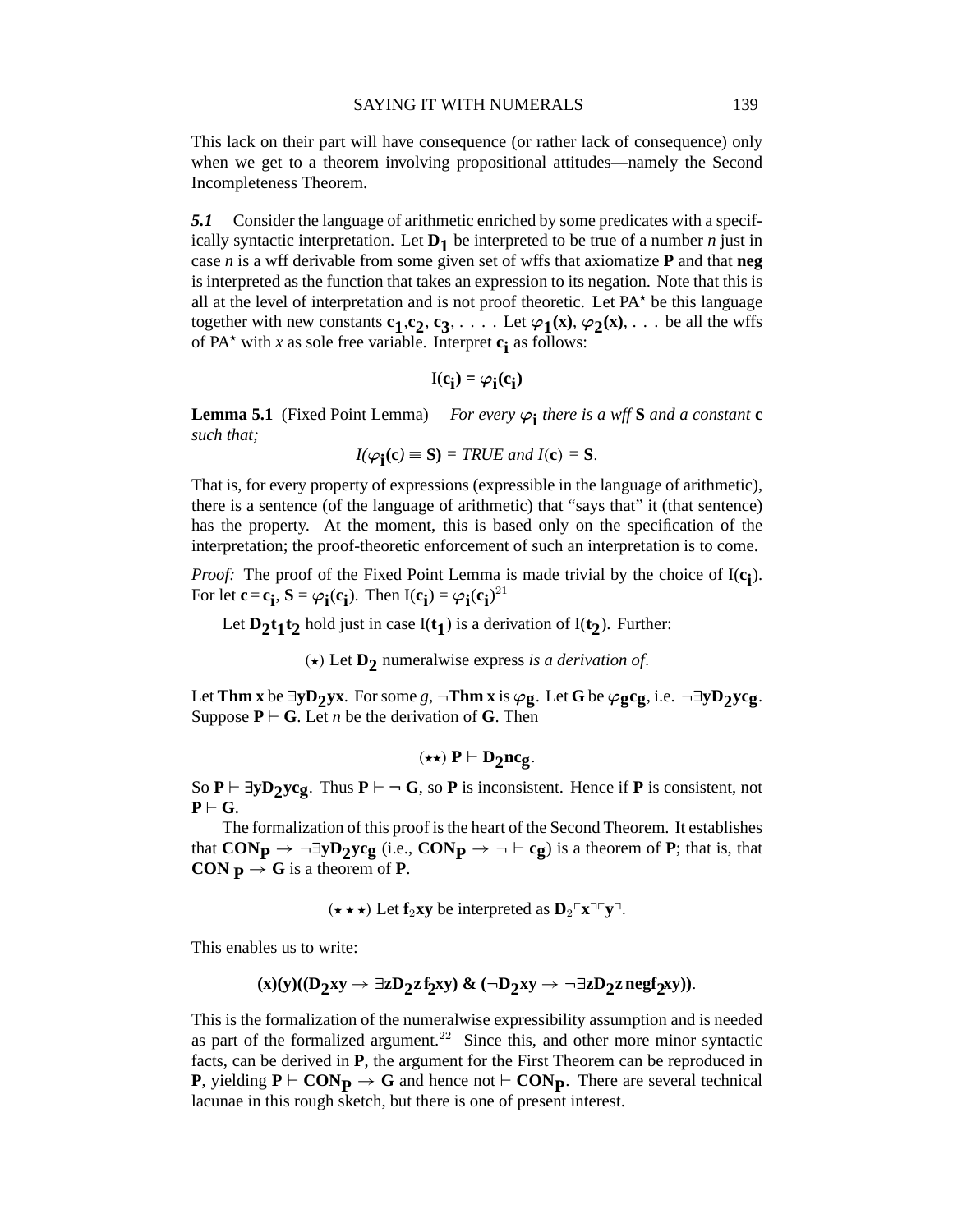This lack on their part will have consequence (or rather lack of consequence) only when we get to a theorem involving propositional attitudes—namely the Second Incompleteness Theorem.

*5.1* Consider the language of arithmetic enriched by some predicates with a specifically syntactic interpretation. Let  $D_1$  be interpreted to be true of a number *n* just in case *n* is a wff derivable from some given set of wffs that axiomatize **P** and that **neg** is interpreted as the function that takes an expression to its negation. Note that this is all at the level of interpretation and is not proof theoretic. Let  $PA^*$  be this language together with new constants  $c_1$ , $c_2$ ,  $c_3$ , . . . . Let  $\varphi_1(x)$ ,  $\varphi_2(x)$ , . . . be all the wffs of PA<sup> $\star$ </sup> with *x* as sole free variable. Interpret  $\mathbf{c}_i$  as follows:

$$
I(c_i) = \varphi_i(c_i)
$$

**Lemma 5.1** (Fixed Point Lemma) *For every*  $\varphi_i$  *there is a wff* **S** *and a constant* **c** *such that;*

 $I(\varphi_i(\mathbf{c}) \equiv \mathbf{S}) = \text{TRUE}$  and  $I(\mathbf{c}) = \mathbf{S}$ .

That is, for every property of expressions (expressible in the language of arithmetic), there is a sentence (of the language of arithmetic) that "says that" it (that sentence) has the property. At the moment, this is based only on the specification of the interpretation; the proof-theoretic enforcement of such an interpretation is to come.

*Proof:* The proof of the Fixed Point Lemma is made trivial by the choice of I(c<sub>i</sub>). For let  $\mathbf{c} = \mathbf{c}_i$ ,  $\mathbf{S} = \varphi_i(\mathbf{c}_i)$ . Then  $I(\mathbf{c}_i) = \varphi_i(\mathbf{c}_i)^{21}$ 

Let  $D_2t_1t_2$  hold just in case  $I(t_1)$  is a derivation of  $I(t_2)$ . Further:

 $(\star)$  Let  $D_2$  numeralwise express *is a derivation of*.

Let **Thm x** be  $\exists yD_2yx$ . For some *g*,  $\neg$ **Thm x** is  $\varphi$ **g**. Let **G** be  $\varphi$ **gcg**, i.e.  $\neg \exists yD_2ycg$ . Suppose  $P \vdash G$ . Let *n* be the derivation of G. Then

$$
(\star\star)\;P\vdash D_2ncg.
$$

So  $P \vdash \exists y D_2 y c_2$ . Thus  $P \vdash \neg G$ , so P is inconsistent. Hence if P is consistent, not  $P \vdash G$ .

The formalization of this proof is the heart of the Second Theorem. It establishes that **CONp** →  $\neg \exists y \mathbf{D}_2 y \mathbf{c}_2$  (i.e., **CONp** →  $\neg$  **l c**<sub>2</sub>) is a theorem of **P**; that is, that **CON**  $\mathbf{p} \rightarrow \mathbf{G}$  is a theorem of **P**.

 $(\star \star \star)$  Let  $f_2xy$  be interpreted as  $D_2 \subset x \subset y$ .

This enables us to write:

$$
(x)(y)((D_2xy \rightarrow \exists z D_2z\, f_2xy) \& (\neg D_2xy \rightarrow \neg \exists z D_2z\, negf_2xy)).
$$

This is the formalization of the numeralwise expressibility assumption and is needed as part of the formalized argument.<sup>22</sup> Since this, and other more minor syntactic facts, can be derived in **P**, the argument for the First Theorem can be reproduced in **P**, yielding  $P \vdash \text{CON}_{P} \rightarrow G$  and hence not  $\vdash \text{CON}_{P}$ . There are several technical lacunae in this rough sketch, but there is one of present interest.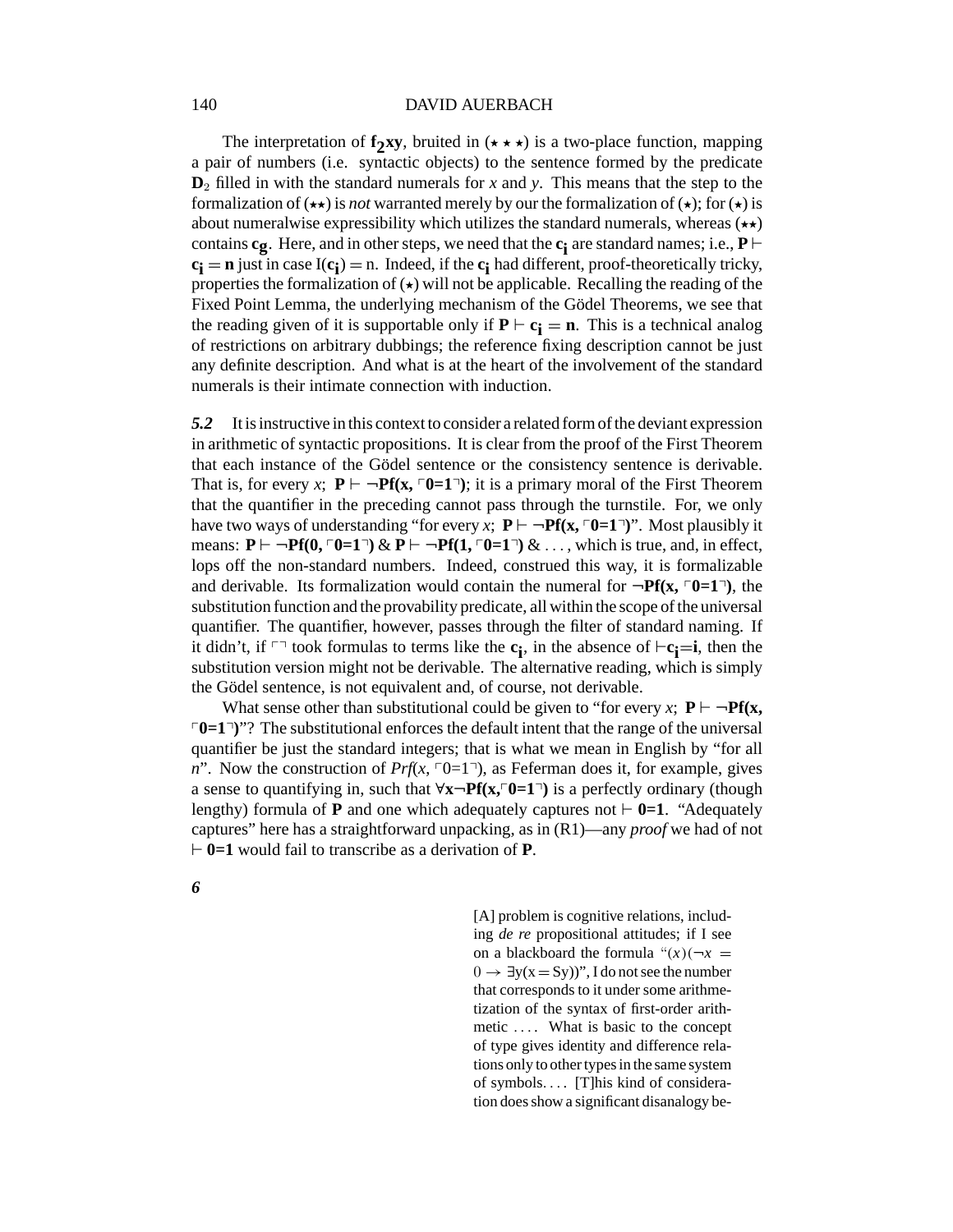The interpretation of  $f_2xy$ , bruited in  $(\star \star \star)$  is a two-place function, mapping a pair of numbers (i.e. syntactic objects) to the sentence formed by the predicate  $D_2$  filled in with the standard numerals for *x* and *y*. This means that the step to the formalization of  $(\star \star)$  is *not* warranted merely by our the formalization of  $(\star)$ ; for  $(\star)$  is about numeralwise expressibility which utilizes the standard numerals, whereas  $(\star \star)$ contains  $c_g$ . Here, and in other steps, we need that the  $c_i$  are standard names; i.e.,  $P \vdash$  $c_i$  = **n** just in case  $I(c_i)$  = n. Indeed, if the  $c_i$  had different, proof-theoretically tricky, properties the formalization of  $(\star)$  will not be applicable. Recalling the reading of the Fixed Point Lemma, the underlying mechanism of the Gödel Theorems, we see that the reading given of it is supportable only if  $P \vdash c_i = n$ . This is a technical analog of restrictions on arbitrary dubbings; the reference fixing description cannot be just any definite description. And what is at the heart of the involvement of the standard numerals is their intimate connection with induction.

*5.2* It is instructive in this context to consider a related form of the deviant expression in arithmetic of syntactic propositions. It is clear from the proof of the First Theorem that each instance of the Gödel sentence or the consistency sentence is derivable. That is, for every *x*;  $P \vdash \neg Pf(x, \neg 0=1 \neg)$ ; it is a primary moral of the First Theorem that the quantifier in the preceding cannot pass through the turnstile. For, we only have two ways of understanding "for every *x*;  $P \vdash \neg Pf(x, \ulcorner 0=1 \urcorner)$ ". Most plausibly it means:  $P \vdash \neg Pf(0, \ulcorner 0=1 \urcorner) \& P \vdash \neg Pf(1, \ulcorner 0=1 \urcorner) \& \ldots$ , which is true, and, in effect, lops off the non-standard numbers. Indeed, construed this way, it is formalizable and derivable. Its formalization would contain the numeral for  $\neg P f(x, \ulcorner 0 = 1 \urcorner)$ , the substitution function and the provability predicate, all within the scope of the universal quantifier. The quantifier, however, passes through the filter of standard naming. If it didn't, if  $\Box$  took formulas to terms like the  $c_i$ , in the absence of  $\vdash c_i = i$ , then the substitution version might not be derivable. The alternative reading, which is simply the Gödel sentence, is not equivalent and, of course, not derivable.

What sense other than substitutional could be given to "for every *x*;  $P \vdash \neg Pf(x, \neg Pf(x))$ **0=1**-**)**"? The substitutional enforces the default intent that the range of the universal quantifier be just the standard integers; that is what we mean in English by "for all *n*". Now the construction of *Prf*( $x$ ,  $\lceil 0=1 \rceil$ ), as Feferman does it, for example, gives a sense to quantifying in, such that  $\forall x \neg Pf(x, \neg 0=1 \neg)$  is a perfectly ordinary (though lengthy) formula of **P** and one which adequately captures not  $\vdash$  0=1. "Adequately captures" here has a straightforward unpacking, as in (R1)—any *proof* we had of not **0=1** would fail to transcribe as a derivation of **P**.

*6*

[A] problem is cognitive relations, including *de re* propositional attitudes; if I see on a blackboard the formula " $(x)(\neg x)$  $0 \rightarrow \exists y(x = Sy)$ ", I do not see the number that corresponds to it under some arithmetization of the syntax of first-order arithmetic ... . What is basic to the concept of type gives identity and difference relations only to other types in the same system of symbols... . [T]his kind of consideration does show a significant disanalogy be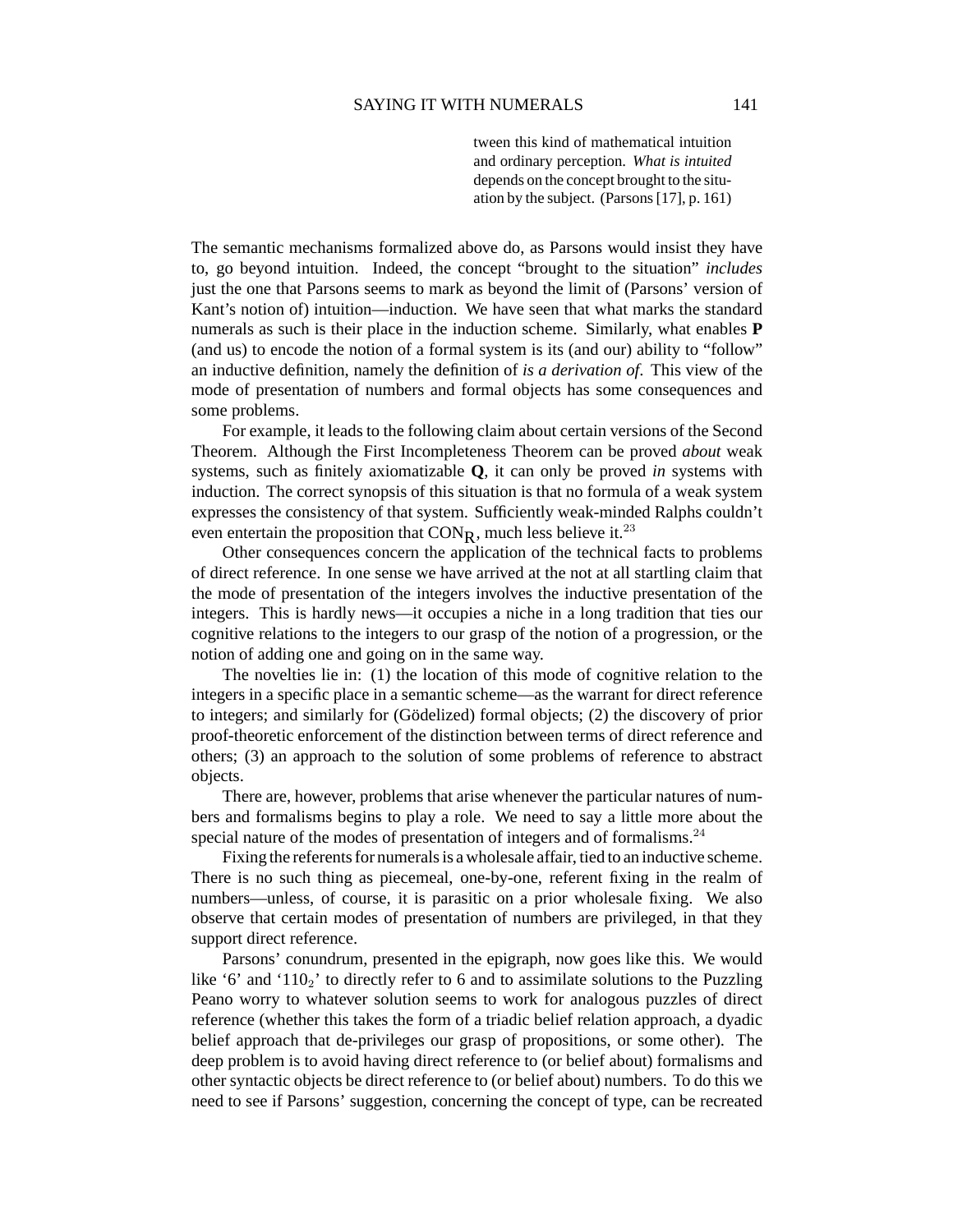tween this kind of mathematical intuition and ordinary perception. *What is intuited* depends on the concept brought to the situation by the subject. (Parsons [17], p. 161)

The semantic mechanisms formalized above do, as Parsons would insist they have to, go beyond intuition. Indeed, the concept "brought to the situation" *includes* just the one that Parsons seems to mark as beyond the limit of (Parsons' version of Kant's notion of) intuition—induction. We have seen that what marks the standard numerals as such is their place in the induction scheme. Similarly, what enables **P** (and us) to encode the notion of a formal system is its (and our) ability to "follow" an inductive definition, namely the definition of *is a derivation of*. This view of the mode of presentation of numbers and formal objects has some consequences and some problems.

For example, it leads to the following claim about certain versions of the Second Theorem. Although the First Incompleteness Theorem can be proved *about* weak systems, such as finitely axiomatizable **Q**, it can only be proved *in* systems with induction. The correct synopsis of this situation is that no formula of a weak system expresses the consistency of that system. Sufficiently weak-minded Ralphs couldn't even entertain the proposition that  $CONF$ , much less believe it.<sup>23</sup>

Other consequences concern the application of the technical facts to problems of direct reference. In one sense we have arrived at the not at all startling claim that the mode of presentation of the integers involves the inductive presentation of the integers. This is hardly news—it occupies a niche in a long tradition that ties our cognitive relations to the integers to our grasp of the notion of a progression, or the notion of adding one and going on in the same way.

The novelties lie in: (1) the location of this mode of cognitive relation to the integers in a specific place in a semantic scheme—as the warrant for direct reference to integers; and similarly for (Gödelized) formal objects; (2) the discovery of prior proof-theoretic enforcement of the distinction between terms of direct reference and others; (3) an approach to the solution of some problems of reference to abstract objects.

There are, however, problems that arise whenever the particular natures of numbers and formalisms begins to play a role. We need to say a little more about the special nature of the modes of presentation of integers and of formalisms. $^{24}$ 

Fixing the referents for numerals is a wholesale affair, tied to an inductive scheme. There is no such thing as piecemeal, one-by-one, referent fixing in the realm of numbers—unless, of course, it is parasitic on a prior wholesale fixing. We also observe that certain modes of presentation of numbers are privileged, in that they support direct reference.

Parsons' conundrum, presented in the epigraph, now goes like this. We would like '6' and '110 $_2$ ' to directly refer to 6 and to assimilate solutions to the Puzzling Peano worry to whatever solution seems to work for analogous puzzles of direct reference (whether this takes the form of a triadic belief relation approach, a dyadic belief approach that de-privileges our grasp of propositions, or some other). The deep problem is to avoid having direct reference to (or belief about) formalisms and other syntactic objects be direct reference to (or belief about) numbers. To do this we need to see if Parsons' suggestion, concerning the concept of type, can be recreated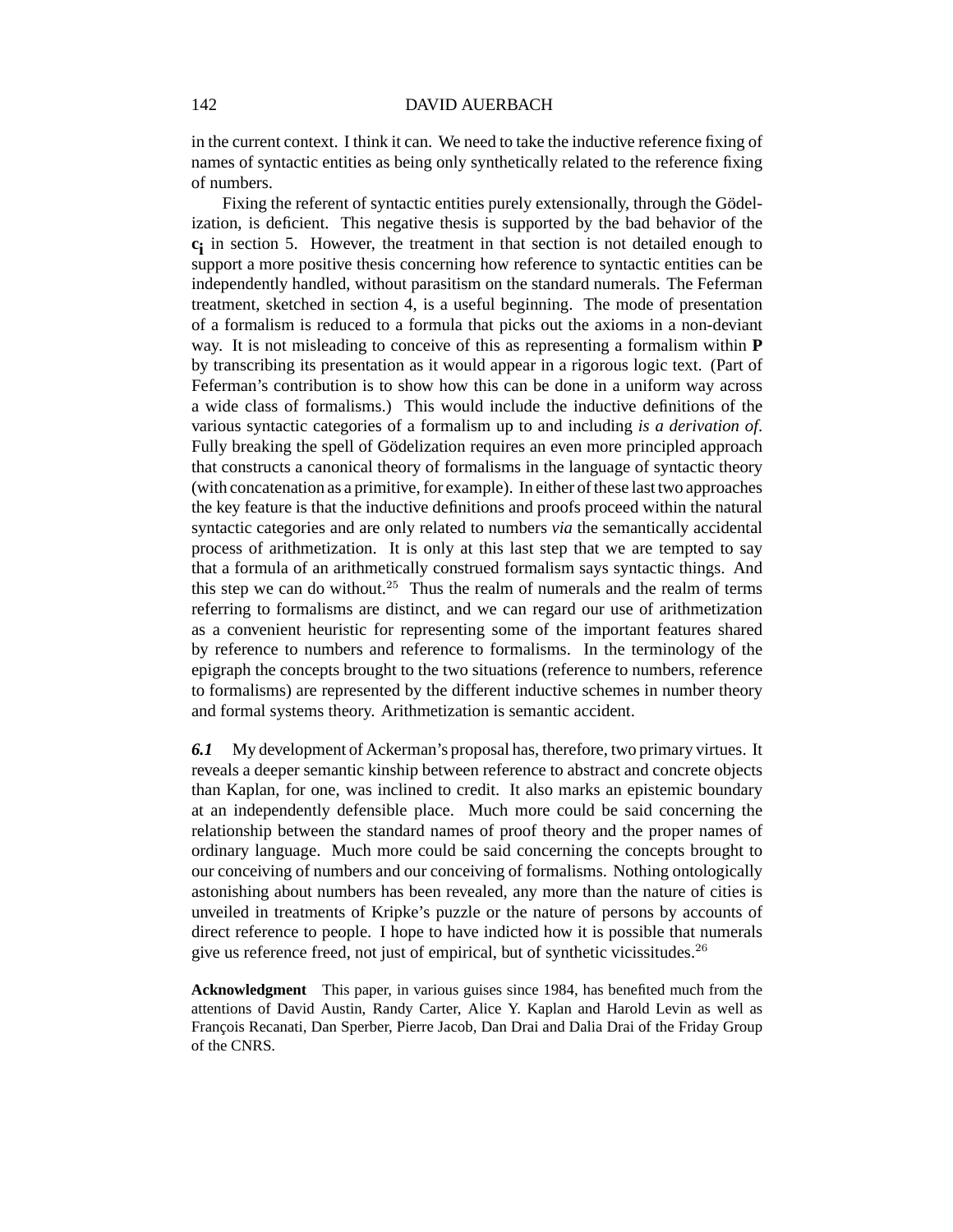in the current context. I think it can. We need to take the inductive reference fixing of names of syntactic entities as being only synthetically related to the reference fixing of numbers.

Fixing the referent of syntactic entities purely extensionally, through the Gödelization, is deficient. This negative thesis is supported by the bad behavior of the **ci** in section 5. However, the treatment in that section is not detailed enough to support a more positive thesis concerning how reference to syntactic entities can be independently handled, without parasitism on the standard numerals. The Feferman treatment, sketched in section 4, is a useful beginning. The mode of presentation of a formalism is reduced to a formula that picks out the axioms in a non-deviant way. It is not misleading to conceive of this as representing a formalism within **P** by transcribing its presentation as it would appear in a rigorous logic text. (Part of Feferman's contribution is to show how this can be done in a uniform way across a wide class of formalisms.) This would include the inductive definitions of the various syntactic categories of a formalism up to and including *is a derivation of*. Fully breaking the spell of Gödelization requires an even more principled approach that constructs a canonical theory of formalisms in the language of syntactic theory (with concatenation as a primitive, for example). In either of these last two approaches the key feature is that the inductive definitions and proofs proceed within the natural syntactic categories and are only related to numbers *via* the semantically accidental process of arithmetization. It is only at this last step that we are tempted to say that a formula of an arithmetically construed formalism says syntactic things. And this step we can do without.<sup>25</sup> Thus the realm of numerals and the realm of terms referring to formalisms are distinct, and we can regard our use of arithmetization as a convenient heuristic for representing some of the important features shared by reference to numbers and reference to formalisms. In the terminology of the epigraph the concepts brought to the two situations (reference to numbers, reference to formalisms) are represented by the different inductive schemes in number theory and formal systems theory. Arithmetization is semantic accident.

*6.1* My development of Ackerman's proposal has, therefore, two primary virtues. It reveals a deeper semantic kinship between reference to abstract and concrete objects than Kaplan, for one, was inclined to credit. It also marks an epistemic boundary at an independently defensible place. Much more could be said concerning the relationship between the standard names of proof theory and the proper names of ordinary language. Much more could be said concerning the concepts brought to our conceiving of numbers and our conceiving of formalisms. Nothing ontologically astonishing about numbers has been revealed, any more than the nature of cities is unveiled in treatments of Kripke's puzzle or the nature of persons by accounts of direct reference to people. I hope to have indicted how it is possible that numerals give us reference freed, not just of empirical, but of synthetic vicissitudes.<sup>26</sup>

**Acknowledgment** This paper, in various guises since 1984, has benefited much from the attentions of David Austin, Randy Carter, Alice Y. Kaplan and Harold Levin as well as François Recanati, Dan Sperber, Pierre Jacob, Dan Drai and Dalia Drai of the Friday Group of the CNRS.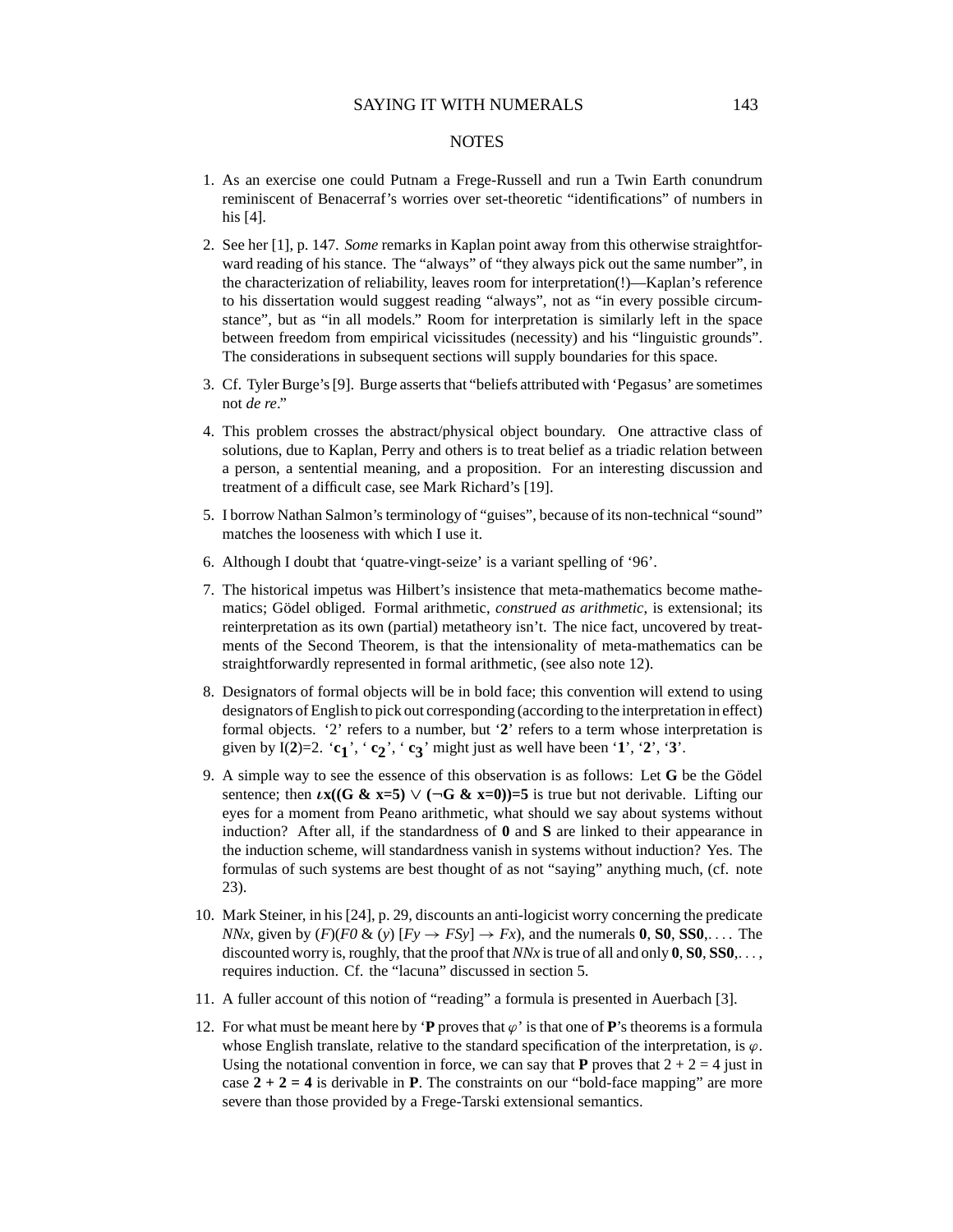# SAYING IT WITH NUMERALS 143

#### NOTES

- 1. As an exercise one could Putnam a Frege-Russell and run a Twin Earth conundrum reminiscent of Benacerraf's worries over set-theoretic "identifications" of numbers in his [4].
- 2. See her [1], p. 147. *Some* remarks in Kaplan point away from this otherwise straightforward reading of his stance. The "always" of "they always pick out the same number", in the characterization of reliability, leaves room for interpretation(!)—Kaplan's reference to his dissertation would suggest reading "always", not as "in every possible circumstance", but as "in all models." Room for interpretation is similarly left in the space between freedom from empirical vicissitudes (necessity) and his "linguistic grounds". The considerations in subsequent sections will supply boundaries for this space.
- 3. Cf. Tyler Burge's [9]. Burge asserts that "beliefs attributed with 'Pegasus' are sometimes not *de re*."
- 4. This problem crosses the abstract/physical object boundary. One attractive class of solutions, due to Kaplan, Perry and others is to treat belief as a triadic relation between a person, a sentential meaning, and a proposition. For an interesting discussion and treatment of a difficult case, see Mark Richard's [19].
- 5. I borrow Nathan Salmon's terminology of "guises", because of its non-technical "sound" matches the looseness with which I use it.
- 6. Although I doubt that 'quatre-vingt-seize' is a variant spelling of '96'.
- 7. The historical impetus was Hilbert's insistence that meta-mathematics become mathematics; Gödel obliged. Formal arithmetic, *construed as arithmetic*, is extensional; its reinterpretation as its own (partial) metatheory isn't. The nice fact, uncovered by treatments of the Second Theorem, is that the intensionality of meta-mathematics can be straightforwardly represented in formal arithmetic, (see also note 12).
- 8. Designators of formal objects will be in bold face; this convention will extend to using designators of English to pick out corresponding (according to the interpretation in effect) formal objects. '2' refers to a number, but '**2**' refers to a term whose interpretation is given by I(**2**)=2. '**c1**', ' **c2**', ' **c3**' might just as well have been '**1**', '**2**', '**3**'.
- 9. A simple way to see the essence of this observation is as follows: Let **G** be the Gödel sentence; then  $\iota$ **x**((G & **x**=5)  $\vee$  (¬G & **x**=0))=5 is true but not derivable. Lifting our eyes for a moment from Peano arithmetic, what should we say about systems without induction? After all, if the standardness of **0** and **S** are linked to their appearance in the induction scheme, will standardness vanish in systems without induction? Yes. The formulas of such systems are best thought of as not "saying" anything much, (cf. note 23).
- 10. Mark Steiner, in his [24], p. 29, discounts an anti-logicist worry concerning the predicate *NNx*, given by  $(F)(F0 \& (y) [Fy \rightarrow FSy] \rightarrow Fx)$ , and the numerals **0**, **S0**, **SS0**,... The discounted worry is, roughly, that the proof that  $NNx$  is true of all and only  $0, S0, SS0,...$ requires induction. Cf. the "lacuna" discussed in section 5.
- 11. A fuller account of this notion of "reading" a formula is presented in Auerbach [3].
- 12. For what must be meant here by '**P** proves that  $\varphi$ ' is that one of **P**'s theorems is a formula whose English translate, relative to the standard specification of the interpretation, is  $\varphi$ . Using the notational convention in force, we can say that **P** proves that  $2 + 2 = 4$  just in case  $2 + 2 = 4$  is derivable in **P**. The constraints on our "bold-face mapping" are more severe than those provided by a Frege-Tarski extensional semantics.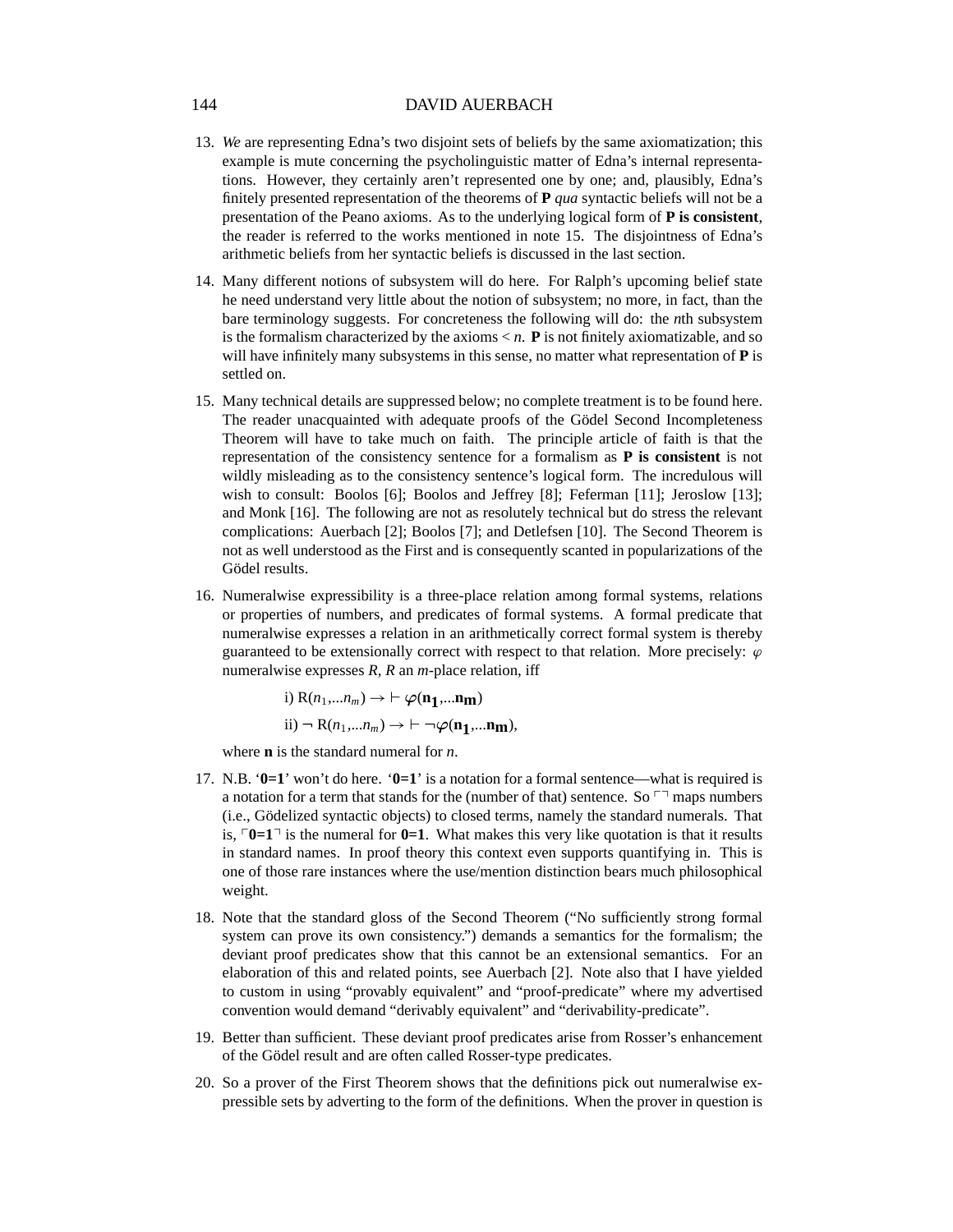- 13. *We* are representing Edna's two disjoint sets of beliefs by the same axiomatization; this example is mute concerning the psycholinguistic matter of Edna's internal representations. However, they certainly aren't represented one by one; and, plausibly, Edna's finitely presented representation of the theorems of **P** *qua* syntactic beliefs will not be a presentation of the Peano axioms. As to the underlying logical form of **P is consistent**, the reader is referred to the works mentioned in note 15. The disjointness of Edna's arithmetic beliefs from her syntactic beliefs is discussed in the last section.
- 14. Many different notions of subsystem will do here. For Ralph's upcoming belief state he need understand very little about the notion of subsystem; no more, in fact, than the bare terminology suggests. For concreteness the following will do: the *n*th subsystem is the formalism characterized by the axioms  $\lt n$ . **P** is not finitely axiomatizable, and so will have infinitely many subsystems in this sense, no matter what representation of **P** is settled on.
- 15. Many technical details are suppressed below; no complete treatment is to be found here. The reader unacquainted with adequate proofs of the Gödel Second Incompleteness Theorem will have to take much on faith. The principle article of faith is that the representation of the consistency sentence for a formalism as **P is consistent** is not wildly misleading as to the consistency sentence's logical form. The incredulous will wish to consult: Boolos [6]; Boolos and Jeffrey [8]; Feferman [11]; Jeroslow [13]; and Monk [16]. The following are not as resolutely technical but do stress the relevant complications: Auerbach [2]; Boolos [7]; and Detlefsen [10]. The Second Theorem is not as well understood as the First and is consequently scanted in popularizations of the Gödel results.
- 16. Numeralwise expressibility is a three-place relation among formal systems, relations or properties of numbers, and predicates of formal systems. A formal predicate that numeralwise expresses a relation in an arithmetically correct formal system is thereby guaranteed to be extensionally correct with respect to that relation. More precisely:  $\varphi$ numeralwise expresses *R*, *R* an *m*-place relation, iff

i) 
$$
R(n_1,...n_m) \rightarrow \vdash \varphi(\mathbf{n_1}...\mathbf{n_m})
$$
  
ii)  $\neg R(n_1,...n_m) \rightarrow \vdash \neg \varphi(\mathbf{n_1}...\mathbf{n_m}),$ 

where **n** is the standard numeral for *n*.

- 17. N.B. '**0=1**' won't do here. '**0=1**' is a notation for a formal sentence—what is required is a notation for a term that stands for the (number of that) sentence. So  $\Box$  maps numbers (i.e., Gödelized syntactic objects) to closed terms, namely the standard numerals. That is, **0=1**- is the numeral for **0=1**. What makes this very like quotation is that it results in standard names. In proof theory this context even supports quantifying in. This is one of those rare instances where the use/mention distinction bears much philosophical weight.
- 18. Note that the standard gloss of the Second Theorem ("No sufficiently strong formal system can prove its own consistency.") demands a semantics for the formalism; the deviant proof predicates show that this cannot be an extensional semantics. For an elaboration of this and related points, see Auerbach [2]. Note also that I have yielded to custom in using "provably equivalent" and "proof-predicate" where my advertised convention would demand "derivably equivalent" and "derivability-predicate".
- 19. Better than sufficient. These deviant proof predicates arise from Rosser's enhancement of the Gödel result and are often called Rosser-type predicates.
- 20. So a prover of the First Theorem shows that the definitions pick out numeralwise expressible sets by adverting to the form of the definitions. When the prover in question is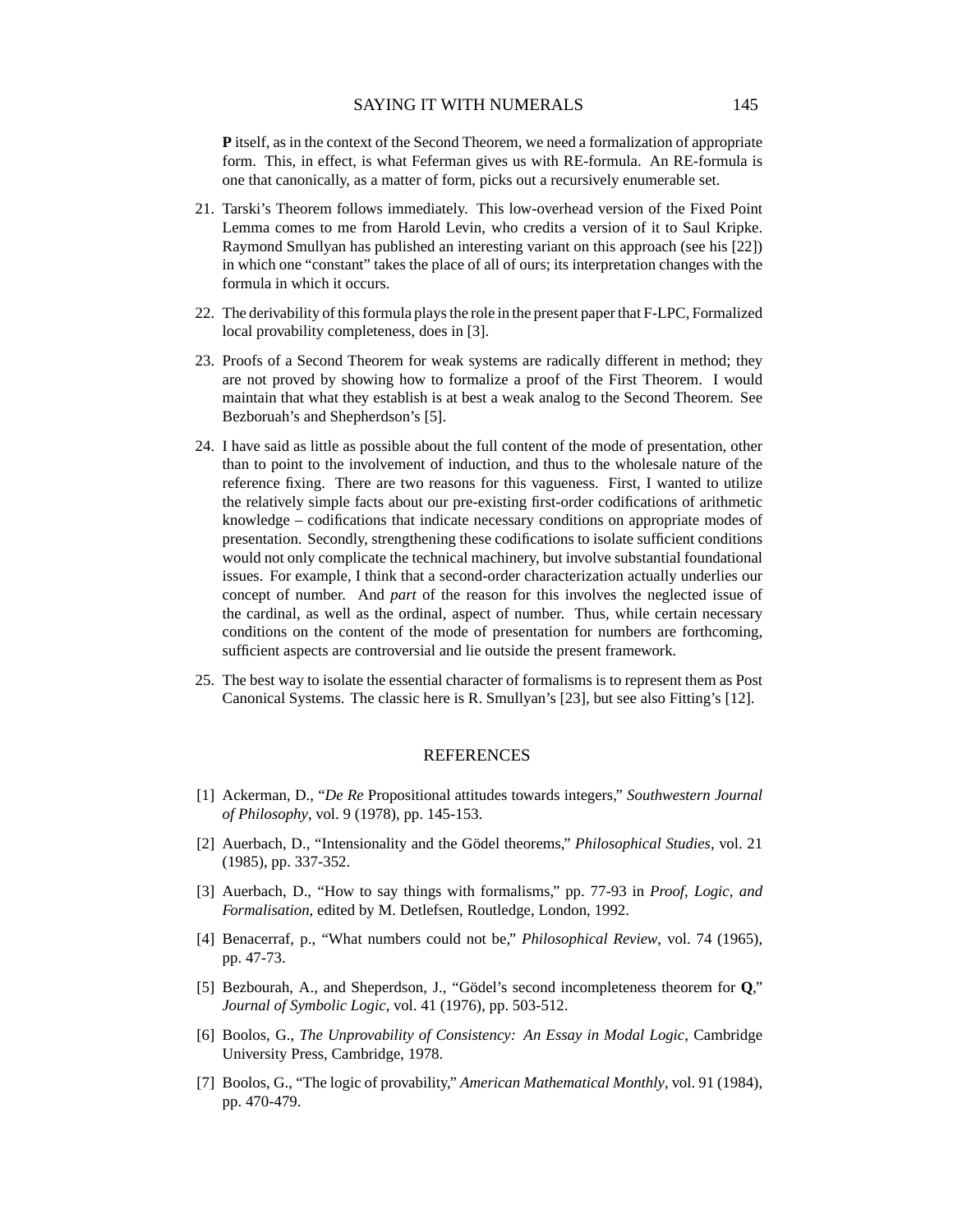**P** itself, as in the context of the Second Theorem, we need a formalization of appropriate form. This, in effect, is what Feferman gives us with RE-formula. An RE-formula is one that canonically, as a matter of form, picks out a recursively enumerable set.

- 21. Tarski's Theorem follows immediately. This low-overhead version of the Fixed Point Lemma comes to me from Harold Levin, who credits a version of it to Saul Kripke. Raymond Smullyan has published an interesting variant on this approach (see his [22]) in which one "constant" takes the place of all of ours; its interpretation changes with the formula in which it occurs.
- 22. The derivability of this formula plays the role in the present paper that F-LPC, Formalized local provability completeness, does in [3].
- 23. Proofs of a Second Theorem for weak systems are radically different in method; they are not proved by showing how to formalize a proof of the First Theorem. I would maintain that what they establish is at best a weak analog to the Second Theorem. See Bezboruah's and Shepherdson's [5].
- 24. I have said as little as possible about the full content of the mode of presentation, other than to point to the involvement of induction, and thus to the wholesale nature of the reference fixing. There are two reasons for this vagueness. First, I wanted to utilize the relatively simple facts about our pre-existing first-order codifications of arithmetic knowledge – codifications that indicate necessary conditions on appropriate modes of presentation. Secondly, strengthening these codifications to isolate sufficient conditions would not only complicate the technical machinery, but involve substantial foundational issues. For example, I think that a second-order characterization actually underlies our concept of number. And *part* of the reason for this involves the neglected issue of the cardinal, as well as the ordinal, aspect of number. Thus, while certain necessary conditions on the content of the mode of presentation for numbers are forthcoming, sufficient aspects are controversial and lie outside the present framework.
- 25. The best way to isolate the essential character of formalisms is to represent them as Post Canonical Systems. The classic here is R. Smullyan's [23], but see also Fitting's [12].

#### REFERENCES

- [1] Ackerman, D., "*De Re* Propositional attitudes towards integers," *Southwestern Journal of Philosophy*, vol. 9 (1978), pp. 145-153.
- [2] Auerbach, D., "Intensionality and the Gödel theorems," *Philosophical Studies*, vol. 21 (1985), pp. 337-352.
- [3] Auerbach, D., "How to say things with formalisms," pp. 77-93 in *Proof, Logic, and Formalisation*, edited by M. Detlefsen, Routledge, London, 1992.
- [4] Benacerraf, p., "What numbers could not be," *Philosophical Review*, vol. 74 (1965), pp. 47-73.
- [5] Bezbourah, A., and Sheperdson, J., "Gödel's second incompleteness theorem for Q," *Journal of Symbolic Logic*, vol. 41 (1976), pp. 503-512.
- [6] Boolos, G., *The Unprovability of Consistency: An Essay in Modal Logic*, Cambridge University Press, Cambridge, 1978.
- [7] Boolos, G., "The logic of provability," *American Mathematical Monthly*, vol. 91 (1984), pp. 470-479.